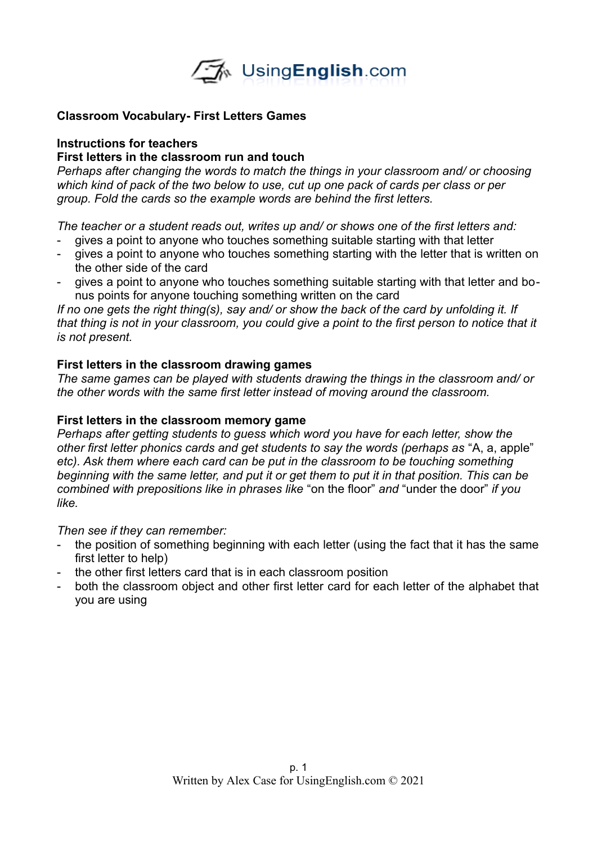

# **Classroom Vocabulary- First Letters Games**

## **Instructions for teachers**

## **First letters in the classroom run and touch**

*Perhaps after changing the words to match the things in your classroom and/ or choosing which kind of pack of the two below to use, cut up one pack of cards per class or per group. Fold the cards so the example words are behind the first letters.*

*The teacher or a student reads out, writes up and/ or shows one of the first letters and:*

- gives a point to anyone who touches something suitable starting with that letter
- gives a point to anyone who touches something starting with the letter that is written on the other side of the card
- gives a point to anyone who touches something suitable starting with that letter and bonus points for anyone touching something written on the card

*If no one gets the right thing(s), say and/ or show the back of the card by unfolding it. If that thing is not in your classroom, you could give a point to the first person to notice that it is not present.* 

# **First letters in the classroom drawing games**

*The same games can be played with students drawing the things in the classroom and/ or the other words with the same first letter instead of moving around the classroom.*

### **First letters in the classroom memory game**

*Perhaps after getting students to guess which word you have for each letter, show the other first letter phonics cards and get students to say the words (perhaps as* "A, a, apple" *etc). Ask them where each card can be put in the classroom to be touching something beginning with the same letter, and put it or get them to put it in that position. This can be combined with prepositions like in phrases like* "on the floor" *and* "under the door" *if you like.* 

#### *Then see if they can remember:*

- the position of something beginning with each letter (using the fact that it has the same first letter to help)
- the other first letters card that is in each classroom position
- both the classroom object and other first letter card for each letter of the alphabet that you are using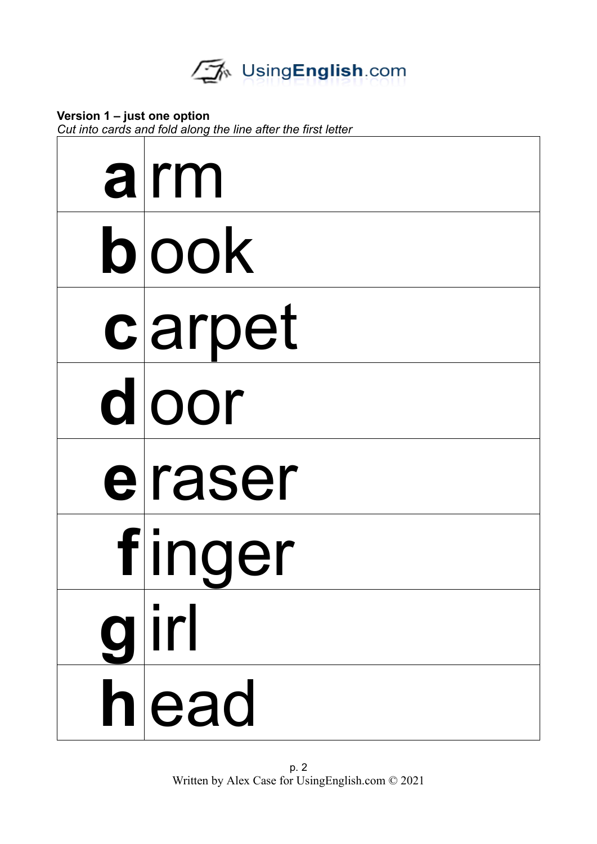**Version 1 – just one option** *Cut into cards and fold along the line after the first letter*

| alrm   |
|--------|
| blook  |
| carpet |
| dloor  |
| eraser |
| finger |
| glirl  |
| hlead  |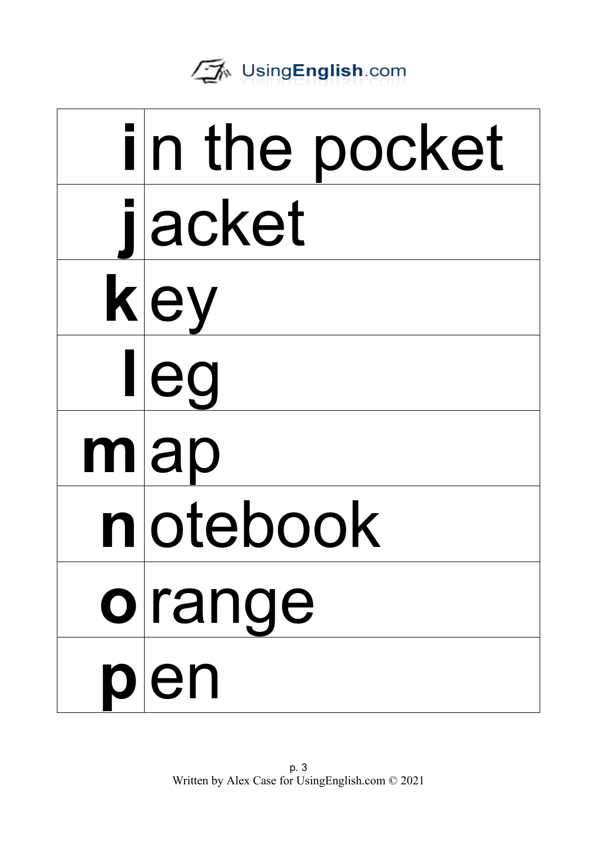| in the pocket |
|---------------|
| jacket        |
| kley          |
| lleg          |
| $m$  ap       |
| notebook      |
| orange        |
| plen          |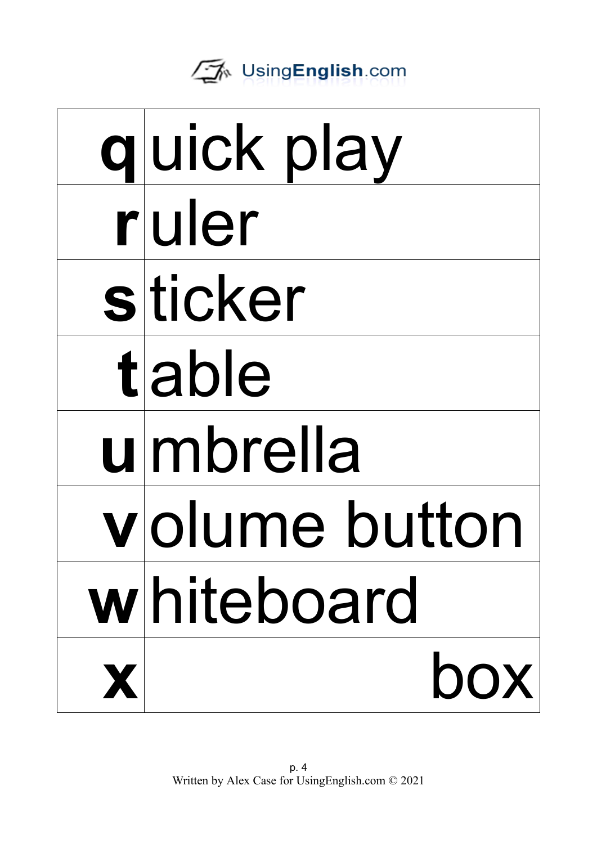

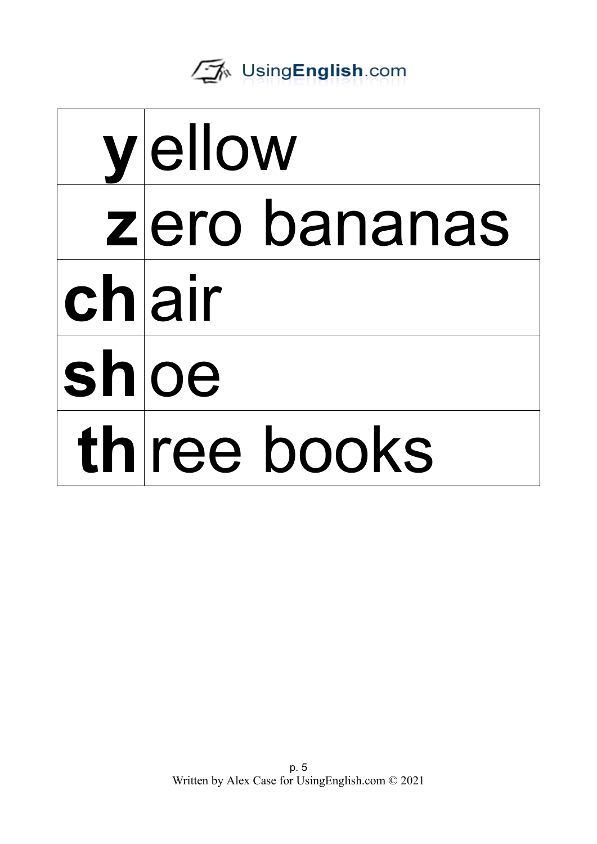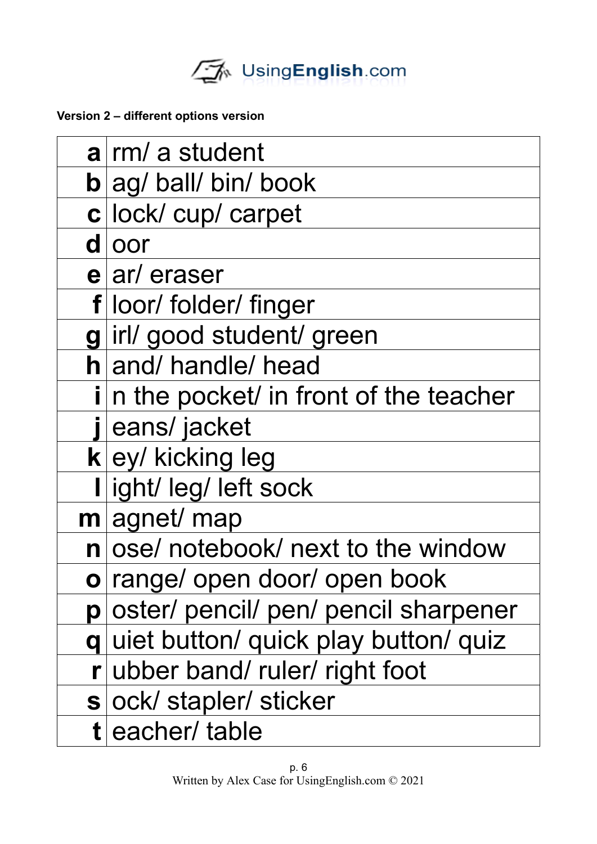

**Version 2 – different options version**

|   | $a$ rm/ a student                          |
|---|--------------------------------------------|
|   | $\mathbf{b}$ ag/ ball/ bin/ book           |
|   | c lock/ cup/ carpet                        |
|   | dloor                                      |
|   | $e ar/$ eraser                             |
|   | f loor/ folder/ finger                     |
| g | irl/good student/green                     |
|   | h and/ handle/ head                        |
|   | i n the pocket/ in front of the teacher    |
|   | eans/jacket                                |
|   | $k$ ey/ kicking leg                        |
|   | ight/ leg/ left sock                       |
|   | $m$ agnet/ map                             |
|   | n ose/ notebook/ next to the window        |
|   | o range/ open door/ open book              |
| p | oster/ pencil/ pen/ pencil sharpener       |
| q | uiet button/ quick play button/ quiz       |
|   | $\mathbf{r}$ ubber band/ ruler/ right foot |
|   | s ock/ stapler/ sticker                    |
|   | t eacher/ table                            |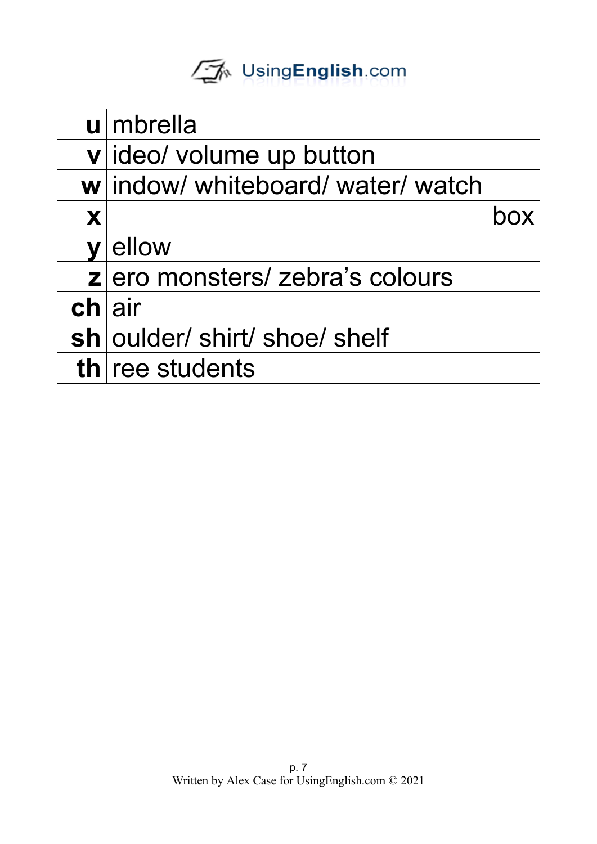|                         | $u$ mbrella                       |  |
|-------------------------|-----------------------------------|--|
|                         | v ideo/ volume up button          |  |
|                         | w indow/ whiteboard/ water/ watch |  |
| X                       |                                   |  |
| $\overline{\mathsf{V}}$ | ellow                             |  |
|                         | z ero monsters/ zebra's colours   |  |
| chlair                  |                                   |  |
|                         | sh   oulder/ shirt/ shoe/ shelf   |  |
|                         | th ree students                   |  |